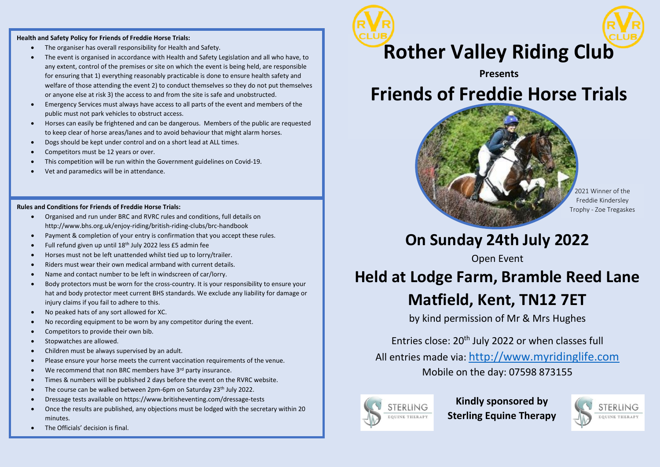#### **Health and Safety Policy for Friends of Freddie Horse Trials:**

- The organiser has overall responsibility for Health and Safety.
- The event is organised in accordance with Health and Safety Legislation and all who have, to any extent, control of the premises or site on which the event is being held, are responsible for ensuring that 1) everything reasonably practicable is done to ensure health safety and welfare of those attending the event 2) to conduct themselves so they do not put themselves or anyone else at risk 3) the access to and from the site is safe and unobstructed.
- Emergency Services must always have access to all parts of the event and members of the public must not park vehicles to obstruct access.
- Horses can easily be frightened and can be dangerous. Members of the public are requested to keep clear of horse areas/lanes and to avoid behaviour that might alarm horses.
- Dogs should be kept under control and on a short lead at ALL times.
- Competitors must be 12 years or over.
- This competition will be run within the Government guidelines on Covid-19.
- Vet and paramedics will be in attendance.

#### **Rules and Conditions for Friends of Freddie Horse Trials:**

- Organised and run under BRC and RVRC rules and conditions, full details on http://www.bhs.org.uk/enjoy-riding/british-riding-clubs/brc-handbook
- Payment & completion of your entry is confirmation that you accept these rules.
- Full refund given up until 18th July 2022 less £5 admin fee
- Horses must not be left unattended whilst tied up to lorry/trailer.
- Riders must wear their own medical armband with current details.
- Name and contact number to be left in windscreen of car/lorry.
- Body protectors must be worn for the cross-country. It is your responsibility to ensure your hat and body protector meet current BHS standards. We exclude any liability for damage or injury claims if you fail to adhere to this.
- No peaked hats of any sort allowed for XC.
- No recording equipment to be worn by any competitor during the event.
- Competitors to provide their own bib.
- Stopwatches are allowed.
- Children must be always supervised by an adult.
- Please ensure your horse meets the current vaccination requirements of the venue.
- We recommend that non BRC members have 3<sup>rd</sup> party insurance.
- Times & numbers will be published 2 days before the event on the RVRC website.
- The course can be walked between 2pm-6pm on Saturday 23<sup>th</sup> July 2022.
- Dressage tests available on https://www.britisheventing.com/dressage-tests
- Once the results are published, any objections must be lodged with the secretary within 20 minutes.
- The Officials' decision is final.

**Rother Valley Riding Club**

**Presents**

# **Friends of Freddie Horse Trials**



2021 Winner of the Freddie Kindersley Trophy - Zoe Tregaskes

## **On Sunday 24th July 2022**

Open Event

# **Held at Lodge Farm, Bramble Reed Lane Matfield, Kent, TN12 7ET**

by kind permission of Mr & Mrs Hughes

Entries close: 20<sup>th</sup> July 2022 or when classes full All entries made via: [http://www.myridinglife.com](http://www.myridinglife.com/) Mobile on the day: 07598 873155



**Kindly sponsored by Sterling Equine Therapy**